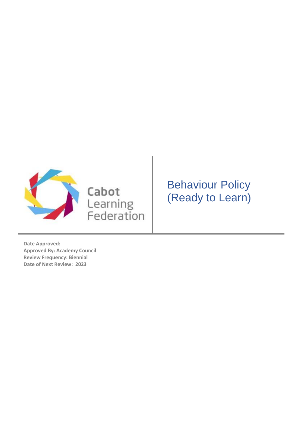

# Cabot Learning<br>Federation

# Behaviour Policy (Ready to Learn)

**Date Approved: Approved By: Academy Council Review Frequency: Biennial Date of Next Review: 2023**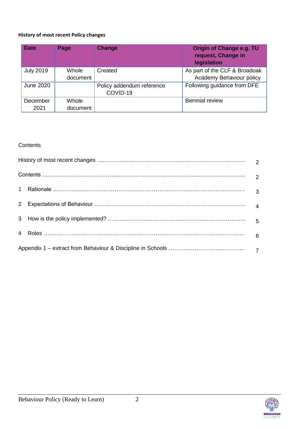## **History of most recent Policy changes**

| <b>Date</b>      | Page                     | Change                                | <b>Origin of Change e.g. TU</b><br>request, Change in<br>legislation |
|------------------|--------------------------|---------------------------------------|----------------------------------------------------------------------|
| <b>July 2019</b> | <b>Whole</b><br>document | Created                               | As part of the CLF & Broadoak<br>Academy Behaviour policy            |
| June 2020        |                          | Policy addendum reference<br>COVID-19 | Following guidance from DFE                                          |
| December<br>2021 | Whole<br>document        |                                       | <b>Biennial review</b>                                               |

# **Contents**

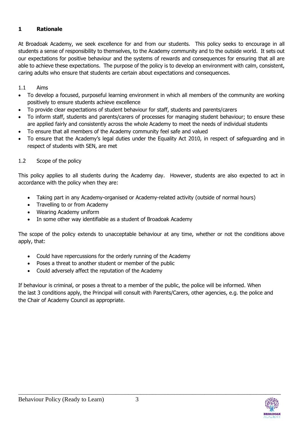# **1 Rationale**

At Broadoak Academy, we seek excellence for and from our students. This policy seeks to encourage in all students a sense of responsibility to themselves, to the Academy community and to the outside world. It sets out our expectations for positive behaviour and the systems of rewards and consequences for ensuring that all are able to achieve these expectations. The purpose of the policy is to develop an environment with calm, consistent, caring adults who ensure that students are certain about expectations and consequences.

#### 1.1 Aims

- To develop a focused, purposeful learning environment in which all members of the community are working positively to ensure students achieve excellence
- To provide clear expectations of student behaviour for staff, students and parents/carers
- To inform staff, students and parents/carers of processes for managing student behaviour; to ensure these are applied fairly and consistently across the whole Academy to meet the needs of individual students
- To ensure that all members of the Academy community feel safe and valued
- To ensure that the Academy's legal duties under the Equality Act 2010, in respect of safeguarding and in respect of students with SEN, are met

#### 1.2 Scope of the policy

This policy applies to all students during the Academy day. However, students are also expected to act in accordance with the policy when they are:

- Taking part in any Academy-organised or Academy-related activity (outside of normal hours)
- Travelling to or from Academy
- Wearing Academy uniform
- In some other way identifiable as a student of Broadoak Academy

The scope of the policy extends to unacceptable behaviour at any time, whether or not the conditions above apply, that:

- Could have repercussions for the orderly running of the Academy
- Poses a threat to another student or member of the public
- Could adversely affect the reputation of the Academy

If behaviour is criminal, or poses a threat to a member of the public, the police will be informed. When the last 3 conditions apply, the Principal will consult with Parents/Carers, other agencies, e.g. the police and the Chair of Academy Council as appropriate.

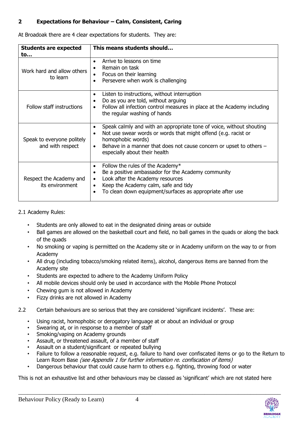## **2 Expectations for Behaviour – Calm, Consistent, Caring**

At Broadoak there are 4 clear expectations for students. They are:

| <b>Students are expected</b>                   | This means students should                                                                                                                                                                                                                                                                       |  |  |
|------------------------------------------------|--------------------------------------------------------------------------------------------------------------------------------------------------------------------------------------------------------------------------------------------------------------------------------------------------|--|--|
| to                                             |                                                                                                                                                                                                                                                                                                  |  |  |
| Work hard and allow others<br>to learn         | Arrive to lessons on time<br>$\bullet$<br>Remain on task<br>$\bullet$<br>Focus on their learning<br>$\bullet$<br>Persevere when work is challenging<br>$\bullet$                                                                                                                                 |  |  |
| Follow staff instructions                      | Listen to instructions, without interruption<br>$\bullet$<br>Do as you are told, without arguing<br>$\bullet$<br>Follow all infection control measures in place at the Academy including<br>the regular washing of hands                                                                         |  |  |
| Speak to everyone politely<br>and with respect | Speak calmly and with an appropriate tone of voice, without shouting<br>Not use swear words or words that might offend (e.g. racist or<br>homophobic words)<br>Behave in a manner that does not cause concern or upset to others -<br>$\bullet$<br>especially about their health                 |  |  |
| Respect the Academy and<br>its environment     | Follow the rules of the Academy*<br>$\bullet$<br>Be a positive ambassador for the Academy community<br>$\bullet$<br>Look after the Academy resources<br>$\bullet$<br>Keep the Academy calm, safe and tidy<br>$\bullet$<br>To clean down equipment/surfaces as appropriate after use<br>$\bullet$ |  |  |

#### 2.1 Academy Rules:

- Students are only allowed to eat in the designated dining areas or outside
- Ball games are allowed on the basketball court and field, no ball games in the quads or along the back of the quads
- No smoking or vaping is permitted on the Academy site or in Academy uniform on the way to or from Academy
- All drug (including tobacco/smoking related items), alcohol, dangerous items are banned from the Academy site
- Students are expected to adhere to the Academy Uniform Policy
- All mobile devices should only be used in accordance with the Mobile Phone Protocol
- Chewing gum is not allowed in Academy
- Fizzy drinks are not allowed in Academy
- 2.2 Certain behaviours are so serious that they are considered 'significant incidents'. These are:
	- Using racist, homophobic or derogatory language at or about an individual or group
	- Swearing at, or in response to a member of staff
	- Smoking/vaping on Academy grounds
	- Assault, or threatened assault, of a member of staff
	- Assault on a student/significant or repeated bullying
	- Failure to follow a reasonable request, e.g. failure to hand over confiscated items or go to the Return to Learn Room Base (see Appendix 1 for further information re. confiscation of items)
	- Dangerous behaviour that could cause harm to others e.g. fighting, throwing food or water

This is not an exhaustive list and other behaviours may be classed as 'significant' which are not stated here

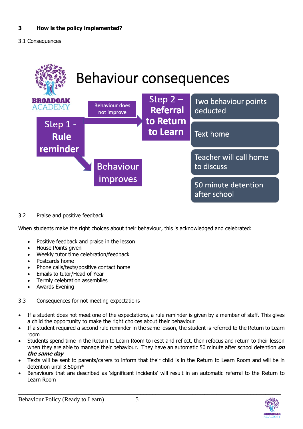3.1 Consequences



3.2 Praise and positive feedback

When students make the right choices about their behaviour, this is acknowledged and celebrated:

- Positive feedback and praise in the lesson
- House Points given
- Weekly tutor time celebration/feedback
- Postcards home
- Phone calls/texts/positive contact home
- Emails to tutor/Head of Year
- Termly celebration assemblies
- Awards Evening
- 3.3 Consequences for not meeting expectations
- If a student does not meet one of the expectations, a rule reminder is given by a member of staff. This gives a child the opportunity to make the right choices about their behaviour
- If a student required a second rule reminder in the same lesson, the student is referred to the Return to Learn room
- Students spend time in the Return to Learn Room to reset and reflect, then refocus and return to their lesson when they are able to manage their behaviour. They have an automatic 50 minute after school detention **on the same day**
- Texts will be sent to parents/carers to inform that their child is in the Return to Learn Room and will be in detention until 3.50pm\*
- Behaviours that are described as 'significant incidents' will result in an automatic referral to the Return to Learn Room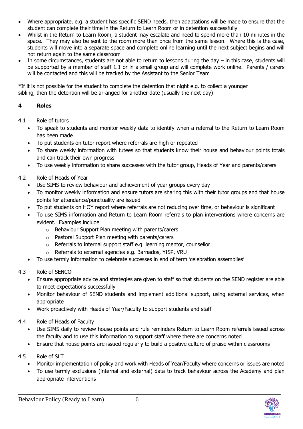- Where appropriate, e.g. a student has specific SEND needs, then adaptations will be made to ensure that the student can complete their time in the Return to Learn Room or in detention successfully
- Whilst in the Return to Learn Room, a student may escalate and need to spend more than 10 minutes in the space. They may also be sent to the room more than once from the same lesson. Where this is the case, students will move into a separate space and complete online learning until the next subject begins and will not return again to the same classroom
- In some circumstances, students are not able to return to lessons during the day in this case, students will be supported by a member of staff 1.1 or in a small group and will complete work online. Parents / carers will be contacted and this will be tracked by the Assistant to the Senior Team

\*If it is not possible for the student to complete the detention that night e.g. to collect a younger sibling, then the detention will be arranged for another date (usually the next day)

# **4 Roles**

- 4.1 Role of tutors
	- To speak to students and monitor weekly data to identify when a referral to the Return to Learn Room has been made
	- To put students on tutor report where referrals are high or repeated
	- To share weekly information with tutees so that students know their house and behaviour points totals and can track their own progress
	- To use weekly information to share successes with the tutor group, Heads of Year and parents/carers
- 4.2 Role of Heads of Year
	- Use SIMS to review behaviour and achievement of year groups every day
	- To monitor weekly information and ensure tutors are sharing this with their tutor groups and that house points for attendance/punctuality are issued
	- To put students on HOY report where referrals are not reducing over time, or behaviour is significant
	- To use SIMS information and Return to Learn Room referrals to plan interventions where concerns are evident. Examples include
		- o Behaviour Support Plan meeting with parents/carers
		- o Pastoral Support Plan meeting with parents/carers
		- o Referrals to internal support staff e.g. learning mentor, counsellor
		- o Referrals to external agencies e.g. Barnados, YISP, VRU
	- To use termly information to celebrate successes in end of term 'celebration assemblies'
- 4.3 Role of SENCO
	- Ensure appropriate advice and strategies are given to staff so that students on the SEND register are able to meet expectations successfully
	- Monitor behaviour of SEND students and implement additional support, using external services, when appropriate
	- Work proactively with Heads of Year/Faculty to support students and staff
- 4.4 Role of Heads of Faculty
	- Use SIMS daily to review house points and rule reminders Return to Learn Room referrals issued across the faculty and to use this information to support staff where there are concerns noted
	- Ensure that house points are issued regularly to build a positive culture of praise within classrooms
- 4.5 Role of SLT
	- Monitor implementation of policy and work with Heads of Year/Faculty where concerns or issues are noted
	- To use termly exclusions (internal and external) data to track behaviour across the Academy and plan appropriate interventions